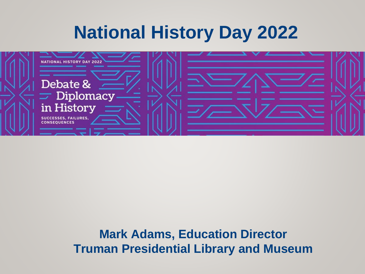# **National History Day 2022**



**Mark Adams, Education Director Truman Presidential Library and Museum**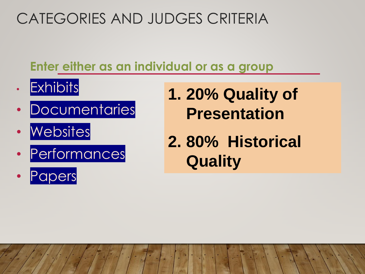# CATEGORIES AND JUDGES CRITERIA

### **Enter either as an individual or as a group**

- Exhibits
- Documentaries
- **Websites**
- Performances
- **Papers**
- **1. 20% Quality of Presentation**
- **2. 80% Historical Quality**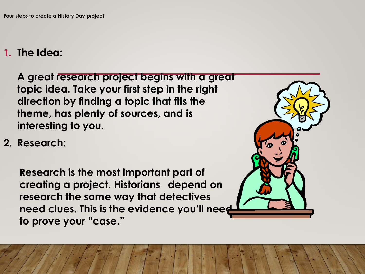#### **1. The Idea:**

**A great research project begins with a great topic idea. Take your first step in the right direction by finding a topic that fits the theme, has plenty of sources, and is interesting to you.** 

**2. Research:**

**Research is the most important part of creating a project. Historians depend on research the same way that detectives need clues. This is the evidence you'll need to prove your "case."** 

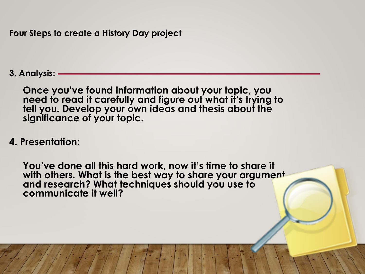**Four Steps to create a History Day project**

**3. Analysis:** 

**Once you've found information about your topic, you need to read it carefully and figure out what it's trying to tell you. Develop your own ideas and thesis about the significance of your topic.** 

**4. Presentation:** 

**You've done all this hard work, now it's time to share it with others. What is the best way to share your argument and research? What techniques should you use to communicate it well?**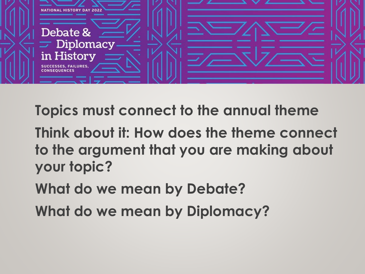

**Topics must connect to the annual theme Think about it: How does the theme connect to the argument that you are making about your topic? What do we mean by Debate?**

**What do we mean by Diplomacy?**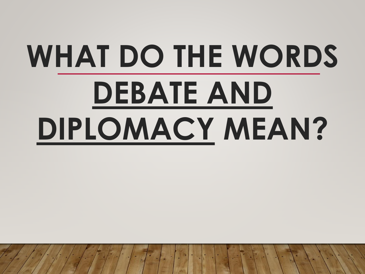# **WHAT DO THE WORDS DEBATE AND DIPLOMACY MEAN?**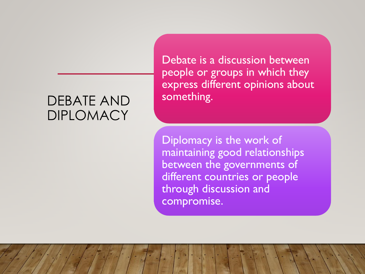#### DEBATE AND DIPLOMACY

Debate is a discussion between people or groups in which they express different opinions about something.

Diplomacy is the work of maintaining good relationships between the governments of different countries or people through discussion and compromise.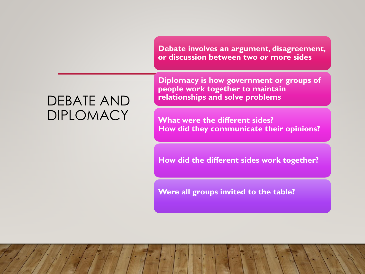**Debate involves an argument, disagreement, or discussion between two or more sides**

#### DEBATE AND DIPLOMACY

**Diplomacy is how government or groups of people work together to maintain relationships and solve problems**

**What were the different sides? How did they communicate their opinions?**

**How did the different sides work together?**

**Were all groups invited to the table?**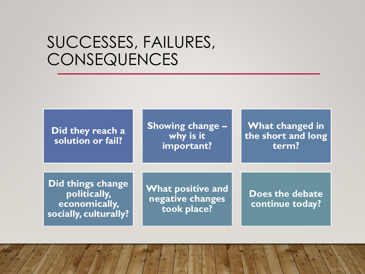# SUCCESSES, FAILURES, **CONSEQUENCES**

**Did they reach a solution or fail?**

**Showing change – why is it important?** 

**What changed in the short and long term?** 

**Did things change politically, economically, socially, culturally?**

**What positive and negative changes took place?**

**Does the debate continue today?**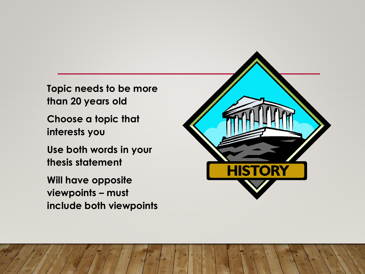**Topic needs to be more than 20 years old**

**Choose a topic that interests you**

**Use both words in your thesis statement**

**Will have opposite viewpoints – must include both viewpoints**

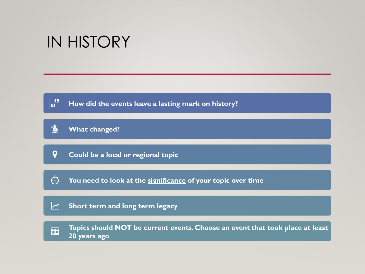# IN HISTORY

 $\frac{1}{2}$ **How did the events leave a lasting mark on history?**

#### 慍 **What changed?**

 $\boldsymbol{Q}$ **Could be a local or regional topic**

 $\odot$ **You need to look at the significance of your topic over time**

#### $\mathbb{Z}$ **Short term and long term legacy**

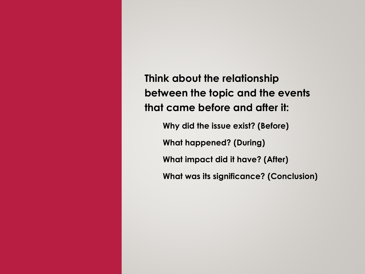**Think about the relationship between the topic and the events that came before and after it:**

**Why did the issue exist? (Before) What happened? (During) What impact did it have? (After) What was its significance? (Conclusion)**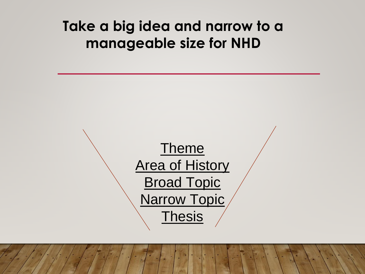## **Take a big idea and narrow to a manageable size for NHD**

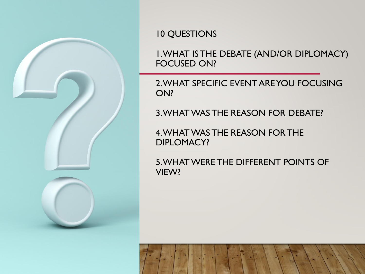

#### 10 QUESTIONS

1. WHAT IS THE DEBATE (AND/OR DIPLOMACY) FOCUSED ON?

2. WHAT SPECIFIC EVENT ARE YOU FOCUSING ON?

3. WHAT WAS THE REASON FOR DEBATE?

4. WHAT WAS THE REASON FOR THE DIPLOMACY?

5. WHAT WERE THE DIFFERENT POINTS OF VIEW?

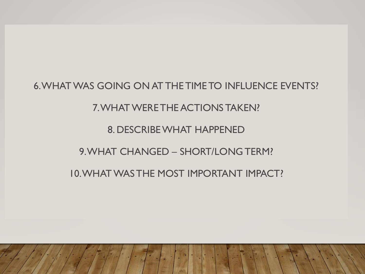6. WHAT WAS GOING ON AT THE TIME TO INFLUENCE EVENTS? 7. WHAT WERE THE ACTIONS TAKEN? 8. DESCRIBE WHAT HAPPENED 9. WHAT CHANGED – SHORT/LONG TERM? 10. WHAT WAS THE MOST IMPORTANT IMPACT?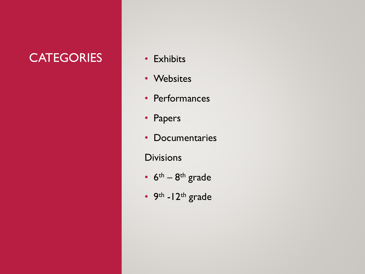### CATEGORIES • Exhibits

- 
- Websites
- Performances
- Papers
- Documentaries
- **Divisions**
- $6<sup>th</sup> 8<sup>th</sup>$  grade
- 9<sup>th</sup>  $12$ <sup>th</sup> grade